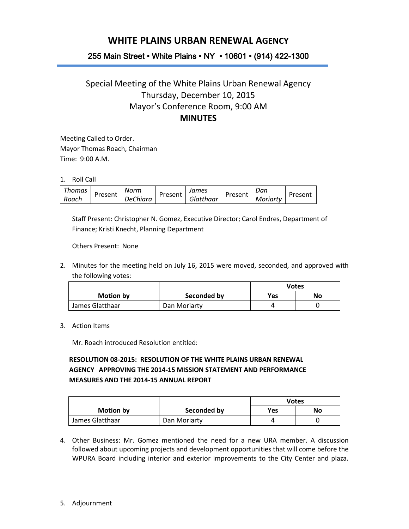## **WHITE PLAINS URBAN RENEWAL AGENCY**

## 255 Main Street • White Plains • NY • 10601 • (914) 422-1300

## Special Meeting of the White Plains Urban Renewal Agency Thursday, December 10, 2015 Mayor's Conference Room, 9:00 AM **MINUTES**

Meeting Called to Order. Mayor Thomas Roach, Chairman Time: 9:00 A.M.

1. Roll Call

| Thomas | Present | Norm     | Present | James     | Present | Dan      | Present |
|--------|---------|----------|---------|-----------|---------|----------|---------|
| Roach  |         | DeChiara |         | Glatthaar |         | Moriarty |         |

Staff Present: Christopher N. Gomez, Executive Director; Carol Endres, Department of Finance; Kristi Knecht, Planning Department

Others Present: None

2. Minutes for the meeting held on July 16, 2015 were moved, seconded, and approved with the following votes:

|                 |              | <b>Votes</b> |    |
|-----------------|--------------|--------------|----|
| Motion by       | Seconded by  | <b>Yes</b>   | No |
| James Glatthaar | Dan Moriarty |              |    |

3. Action Items

Mr. Roach introduced Resolution entitled:

## **RESOLUTION 08-2015: RESOLUTION OF THE WHITE PLAINS URBAN RENEWAL AGENCY APPROVING THE 2014-15 MISSION STATEMENT AND PERFORMANCE MEASURES AND THE 2014-15 ANNUAL REPORT**

|                 |              | <b>Votes</b> |    |
|-----------------|--------------|--------------|----|
| Motion by       | Seconded by  | Yes          | No |
| James Glatthaar | Dan Moriarty |              |    |

4. Other Business: Mr. Gomez mentioned the need for a new URA member. A discussion followed about upcoming projects and development opportunities that will come before the WPURA Board including interior and exterior improvements to the City Center and plaza.